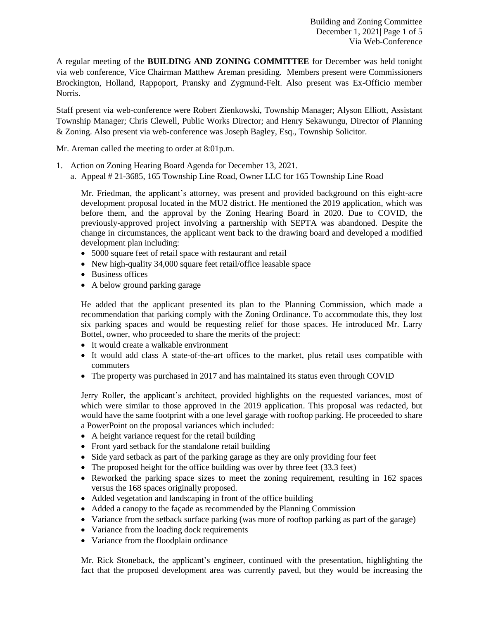A regular meeting of the **BUILDING AND ZONING COMMITTEE** for December was held tonight via web conference, Vice Chairman Matthew Areman presiding. Members present were Commissioners Brockington, Holland, Rappoport, Pransky and Zygmund-Felt. Also present was Ex-Officio member Norris.

Staff present via web-conference were Robert Zienkowski, Township Manager; Alyson Elliott, Assistant Township Manager; Chris Clewell, Public Works Director; and Henry Sekawungu, Director of Planning & Zoning. Also present via web-conference was Joseph Bagley, Esq., Township Solicitor.

Mr. Areman called the meeting to order at 8:01p.m.

- 1. Action on Zoning Hearing Board Agenda for December 13, 2021.
	- a. Appeal # 21-3685, 165 Township Line Road, Owner LLC for 165 Township Line Road

Mr. Friedman, the applicant's attorney, was present and provided background on this eight-acre development proposal located in the MU2 district. He mentioned the 2019 application, which was before them, and the approval by the Zoning Hearing Board in 2020. Due to COVID, the previously-approved project involving a partnership with SEPTA was abandoned. Despite the change in circumstances, the applicant went back to the drawing board and developed a modified development plan including:

- 5000 square feet of retail space with restaurant and retail
- New high-quality 34,000 square feet retail/office leasable space
- Business offices
- A below ground parking garage

He added that the applicant presented its plan to the Planning Commission, which made a recommendation that parking comply with the Zoning Ordinance. To accommodate this, they lost six parking spaces and would be requesting relief for those spaces. He introduced Mr. Larry Bottel, owner, who proceeded to share the merits of the project:

- It would create a walkable environment
- It would add class A state-of-the-art offices to the market, plus retail uses compatible with commuters
- The property was purchased in 2017 and has maintained its status even through COVID

Jerry Roller, the applicant's architect, provided highlights on the requested variances, most of which were similar to those approved in the 2019 application. This proposal was redacted, but would have the same footprint with a one level garage with rooftop parking. He proceeded to share a PowerPoint on the proposal variances which included:

- A height variance request for the retail building
- Front yard setback for the standalone retail building
- Side yard setback as part of the parking garage as they are only providing four feet
- The proposed height for the office building was over by three feet (33.3 feet)
- Reworked the parking space sizes to meet the zoning requirement, resulting in 162 spaces versus the 168 spaces originally proposed.
- Added vegetation and landscaping in front of the office building
- Added a canopy to the façade as recommended by the Planning Commission
- Variance from the setback surface parking (was more of rooftop parking as part of the garage)
- Variance from the loading dock requirements
- Variance from the floodplain ordinance

Mr. Rick Stoneback, the applicant's engineer, continued with the presentation, highlighting the fact that the proposed development area was currently paved, but they would be increasing the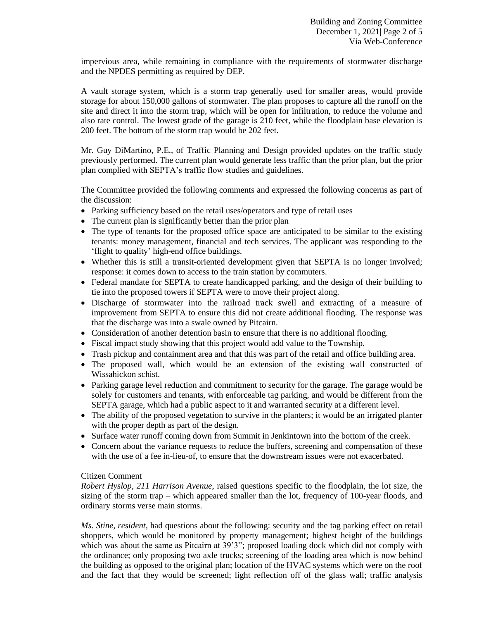impervious area, while remaining in compliance with the requirements of stormwater discharge and the NPDES permitting as required by DEP.

A vault storage system, which is a storm trap generally used for smaller areas, would provide storage for about 150,000 gallons of stormwater. The plan proposes to capture all the runoff on the site and direct it into the storm trap, which will be open for infiltration, to reduce the volume and also rate control. The lowest grade of the garage is 210 feet, while the floodplain base elevation is 200 feet. The bottom of the storm trap would be 202 feet.

Mr. Guy DiMartino, P.E., of Traffic Planning and Design provided updates on the traffic study previously performed. The current plan would generate less traffic than the prior plan, but the prior plan complied with SEPTA's traffic flow studies and guidelines.

The Committee provided the following comments and expressed the following concerns as part of the discussion:

- Parking sufficiency based on the retail uses/operators and type of retail uses
- The current plan is significantly better than the prior plan
- The type of tenants for the proposed office space are anticipated to be similar to the existing tenants: money management, financial and tech services. The applicant was responding to the 'flight to quality' high-end office buildings.
- Whether this is still a transit-oriented development given that SEPTA is no longer involved; response: it comes down to access to the train station by commuters.
- Federal mandate for SEPTA to create handicapped parking, and the design of their building to tie into the proposed towers if SEPTA were to move their project along.
- Discharge of stormwater into the railroad track swell and extracting of a measure of improvement from SEPTA to ensure this did not create additional flooding. The response was that the discharge was into a swale owned by Pitcairn.
- Consideration of another detention basin to ensure that there is no additional flooding.
- Fiscal impact study showing that this project would add value to the Township.
- Trash pickup and containment area and that this was part of the retail and office building area.
- The proposed wall, which would be an extension of the existing wall constructed of Wissahickon schist.
- Parking garage level reduction and commitment to security for the garage. The garage would be solely for customers and tenants, with enforceable tag parking, and would be different from the SEPTA garage, which had a public aspect to it and warranted security at a different level.
- The ability of the proposed vegetation to survive in the planters; it would be an irrigated planter with the proper depth as part of the design.
- Surface water runoff coming down from Summit in Jenkintown into the bottom of the creek.
- Concern about the variance requests to reduce the buffers, screening and compensation of these with the use of a fee in-lieu-of, to ensure that the downstream issues were not exacerbated.

## Citizen Comment

*Robert Hyslop, 211 Harrison Avenue*, raised questions specific to the floodplain, the lot size, the sizing of the storm trap – which appeared smaller than the lot, frequency of 100-year floods, and ordinary storms verse main storms.

*Ms. Stine, resident,* had questions about the following: security and the tag parking effect on retail shoppers, which would be monitored by property management; highest height of the buildings which was about the same as Pitcairn at 39'3"; proposed loading dock which did not comply with the ordinance; only proposing two axle trucks; screening of the loading area which is now behind the building as opposed to the original plan; location of the HVAC systems which were on the roof and the fact that they would be screened; light reflection off of the glass wall; traffic analysis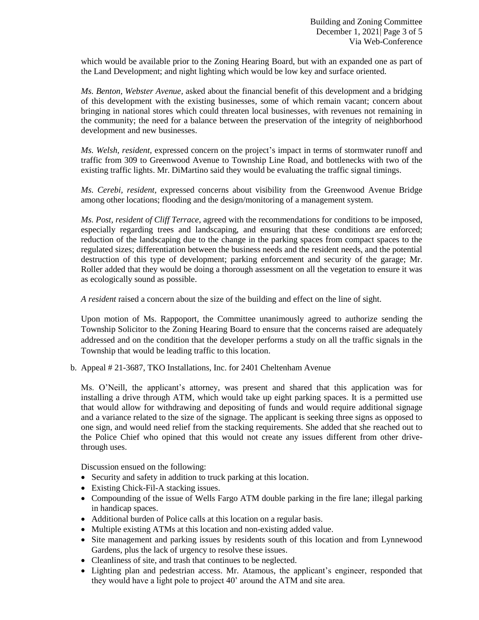which would be available prior to the Zoning Hearing Board, but with an expanded one as part of the Land Development; and night lighting which would be low key and surface oriented.

*Ms. Benton, Webster Avenue,* asked about the financial benefit of this development and a bridging of this development with the existing businesses, some of which remain vacant; concern about bringing in national stores which could threaten local businesses, with revenues not remaining in the community; the need for a balance between the preservation of the integrity of neighborhood development and new businesses.

*Ms. Welsh, resident,* expressed concern on the project's impact in terms of stormwater runoff and traffic from 309 to Greenwood Avenue to Township Line Road, and bottlenecks with two of the existing traffic lights. Mr. DiMartino said they would be evaluating the traffic signal timings.

*Ms. Cerebi, resident,* expressed concerns about visibility from the Greenwood Avenue Bridge among other locations; flooding and the design/monitoring of a management system.

*Ms. Post, resident of Cliff Terrace*, agreed with the recommendations for conditions to be imposed, especially regarding trees and landscaping, and ensuring that these conditions are enforced; reduction of the landscaping due to the change in the parking spaces from compact spaces to the regulated sizes; differentiation between the business needs and the resident needs, and the potential destruction of this type of development; parking enforcement and security of the garage; Mr. Roller added that they would be doing a thorough assessment on all the vegetation to ensure it was as ecologically sound as possible.

*A resident* raised a concern about the size of the building and effect on the line of sight.

Upon motion of Ms. Rappoport, the Committee unanimously agreed to authorize sending the Township Solicitor to the Zoning Hearing Board to ensure that the concerns raised are adequately addressed and on the condition that the developer performs a study on all the traffic signals in the Township that would be leading traffic to this location.

b. Appeal # 21-3687, TKO Installations, Inc. for 2401 Cheltenham Avenue

Ms. O'Neill, the applicant's attorney, was present and shared that this application was for installing a drive through ATM, which would take up eight parking spaces. It is a permitted use that would allow for withdrawing and depositing of funds and would require additional signage and a variance related to the size of the signage. The applicant is seeking three signs as opposed to one sign, and would need relief from the stacking requirements. She added that she reached out to the Police Chief who opined that this would not create any issues different from other drivethrough uses.

Discussion ensued on the following:

- Security and safety in addition to truck parking at this location.
- Existing Chick-Fil-A stacking issues.
- Compounding of the issue of Wells Fargo ATM double parking in the fire lane; illegal parking in handicap spaces.
- Additional burden of Police calls at this location on a regular basis.
- Multiple existing ATMs at this location and non-existing added value.
- Site management and parking issues by residents south of this location and from Lynnewood Gardens, plus the lack of urgency to resolve these issues.
- Cleanliness of site, and trash that continues to be neglected.
- Lighting plan and pedestrian access. Mr. Atamous, the applicant's engineer, responded that they would have a light pole to project 40' around the ATM and site area.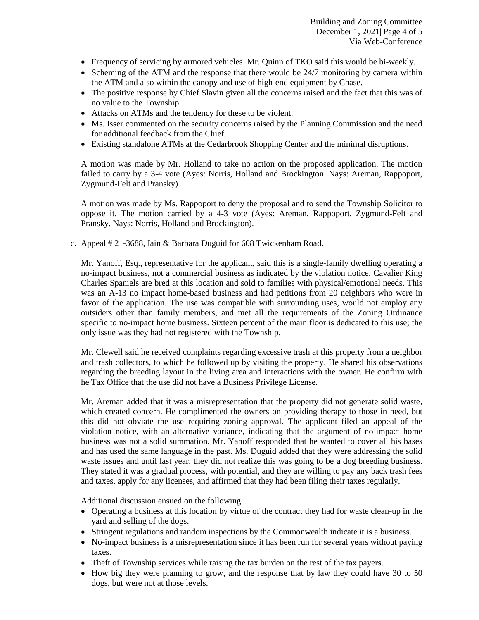- Frequency of servicing by armored vehicles. Mr. Quinn of TKO said this would be bi-weekly.
- Scheming of the ATM and the response that there would be 24/7 monitoring by camera within the ATM and also within the canopy and use of high-end equipment by Chase.
- The positive response by Chief Slavin given all the concerns raised and the fact that this was of no value to the Township.
- Attacks on ATMs and the tendency for these to be violent.
- Ms. Isser commented on the security concerns raised by the Planning Commission and the need for additional feedback from the Chief.
- Existing standalone ATMs at the Cedarbrook Shopping Center and the minimal disruptions.

A motion was made by Mr. Holland to take no action on the proposed application. The motion failed to carry by a 3-4 vote (Ayes: Norris, Holland and Brockington. Nays: Areman, Rappoport, Zygmund-Felt and Pransky).

A motion was made by Ms. Rappoport to deny the proposal and to send the Township Solicitor to oppose it. The motion carried by a 4-3 vote (Ayes: Areman, Rappoport, Zygmund-Felt and Pransky. Nays: Norris, Holland and Brockington).

c. Appeal # 21-3688, Iain & Barbara Duguid for 608 Twickenham Road.

Mr. Yanoff, Esq., representative for the applicant, said this is a single-family dwelling operating a no-impact business, not a commercial business as indicated by the violation notice. Cavalier King Charles Spaniels are bred at this location and sold to families with physical/emotional needs. This was an A-13 no impact home-based business and had petitions from 20 neighbors who were in favor of the application. The use was compatible with surrounding uses, would not employ any outsiders other than family members, and met all the requirements of the Zoning Ordinance specific to no-impact home business. Sixteen percent of the main floor is dedicated to this use; the only issue was they had not registered with the Township.

Mr. Clewell said he received complaints regarding excessive trash at this property from a neighbor and trash collectors, to which he followed up by visiting the property. He shared his observations regarding the breeding layout in the living area and interactions with the owner. He confirm with he Tax Office that the use did not have a Business Privilege License.

Mr. Areman added that it was a misrepresentation that the property did not generate solid waste, which created concern. He complimented the owners on providing therapy to those in need, but this did not obviate the use requiring zoning approval. The applicant filed an appeal of the violation notice, with an alternative variance, indicating that the argument of no-impact home business was not a solid summation. Mr. Yanoff responded that he wanted to cover all his bases and has used the same language in the past. Ms. Duguid added that they were addressing the solid waste issues and until last year, they did not realize this was going to be a dog breeding business. They stated it was a gradual process, with potential, and they are willing to pay any back trash fees and taxes, apply for any licenses, and affirmed that they had been filing their taxes regularly.

Additional discussion ensued on the following:

- Operating a business at this location by virtue of the contract they had for waste clean-up in the yard and selling of the dogs.
- Stringent regulations and random inspections by the Commonwealth indicate it is a business.
- No-impact business is a misrepresentation since it has been run for several years without paying taxes.
- Theft of Township services while raising the tax burden on the rest of the tax payers.
- How big they were planning to grow, and the response that by law they could have 30 to 50 dogs, but were not at those levels.